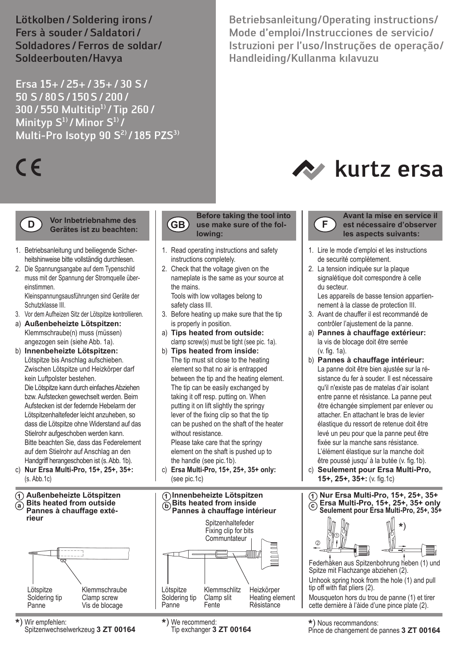Lötkolben/Soldering irons/ Fers à souder /Saldatori / Soldadores/Ferros de soldar/ Soldeerbouten/Havya

Ersa 15+/25+/35+/30 S/ 50 S/80S/ 150S/200/ 300/550 Multitip1) /Tip 260/ Minityp  $S^1$ /Minor  $S^1$ Multi-Pro Isotyp 90  $S^{2}$  / 185 PZS<sup>3)</sup>

# $\epsilon$

**D**

# **Vor Inbetriebnahme des Gerätes ist zu beachten:**

- 1. Betriebsanleitung und beiliegende Sicher heitshinweise bitte vollständig durchlesen.
- 2. Die Spannungsangabe auf dem Typenschild muss mit der Spannung der Stromquelle über einstimmen. Kleinspannungsausführungen sind Geräte der

Schutzklasse III.

- 3. Vor dem Aufheizen Sitz der Lötspitze kontrollieren.
- a) **Außenbeheizte Lötspitzen:** Klemmschraube(n) muss (müssen) angezogen sein (siehe Abb. 1a).
- b) **Innenbeheizte Lötspitzen:** Lötspitze bis Anschlag aufschieben. Zwischen Lötspitze und Heizkörper darf kein Luftpolster bestehen.

 Die Lötspitze kann durch einfaches Abziehen bzw. Aufstecken gewechselt werden. Beim Aufstecken ist der federnde Hebelarm der Lötspitzenhaltefeder leicht anzuheben, so dass die Lötspitze ohne Widerstand auf das Stielrohr aufgeschoben werden kann. Bitte beachten Sie, dass das Federelement auf dem Stielrohr auf Anschlag an den Handgriff herangeschoben ist (s. Abb. 1b).

c) **Nur Ersa Multi-Pro, 15+, 25+, 35+:** (s. Abb.1c)

# **Außenbeheizte Lötspitzen Bits heated from outside Pannes à chauffage extérieur a**





the mains.

safety class III.

 is properly in position. a) **Tips heated from outside:** clamp screw(s) must be tight (see pic. 1a). b) **Tips heated from inside:**

 The tip can be easily exchanged by taking it off resp. putting on. When putting it on lift slightly the springy lever of the fixing clip so that the tip can be pushed on the shaft of the heater without resistance. Please take care that the springy

1. Read operating instructions and safety instructions completely. 2. Check that the voltage given on the nameplate is the same as your source at

**lowing:**

**Before taking the tool into** 

Tools with low voltages belong to

3. Before heating up make sure that the tip

 element on the shaft is pushed up to the handle (see pic.1b).

c) **Ersa Multi-Pro, 15+, 25+, 35+ only:** (see pic.1c)



Betriebsanleitung/Operating instructions/ Mode d'emploi/Instrucciones de servicio/ Istruzioni per l'uso/Instruções de operação/ Handleiding/Kullanma kılavuzu





**Avant la mise en service il est nécessaire d'observer les aspects suivants:**

- 1. Lire le mode d'emploi et les instructions de securité complètement.
- 2. La tension indiquée sur la plaque signalétique doit correspondre à celle du secteur.

 Les appareils de basse tension appartien nement à la classe de protection III.

- 3. Avant de chauffer il est recommandé de contrôler l'ajustement de la panne.
- a) **Pannes à chauffage extérieur:** la vis de blocage doit être serrée (v. fig. 1a).
- b) **Pannes à chauffage intérieur:** La panne doit être bien ajustée sur la ré sistance du fer à souder. Il est nécessaire qu'il n'existe pas de matelas d'air isolant entre panne et résistance. La panne peut être échangée simplement par enlever ou attacher. En attachant le bras de levier élastique du ressort de retenue doit être levé un peu pour que la panne peut être fixée sur la manche sans résistance. L'élément élastique sur la manche doit être poussé jusqu' à la butée (v. fig.1b).
- c) **Seulement pour Ersa Multi-Pro, 15+, 25+, 35+:** (v. fig.1c) **Nur Ersa Multi-Pro, 15+, 25+, 35+**



Federhaken aus Spitzenbohrung heben (1) und Spitze mit Flachzange abziehen (2).

Unhook spring hook from the hole (1) and pull tip off with flat pliers (2).

Mousqueton hors du trou de panne (1) et tirer cette dernière à l'àide d'une pince plate (2).

Tip exchanger **3 ZT 00164 \***) Nous recommandons:

Pince de changement de pannes **3 ZT 00164**

Spitzenwechselwerkzeug **3 ZT 00164 \***) We recommend: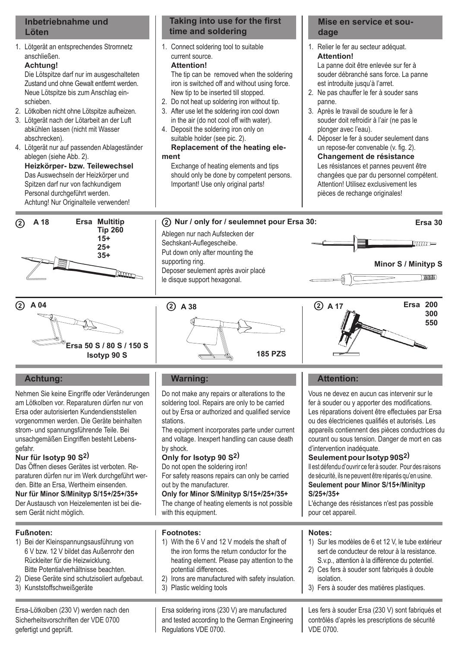# **Inbetriebnahme und Löten**

1. Lötgerät an entsprechendes Stromnetz anschließen.

# **Achtung!**

 Die Lötspitze darf nur im ausgeschalteten Zustand und ohne Gewalt entfernt werden. Neue Lötspitze bis zum Anschlag ein schieben.

- 2. Lötkolben nicht ohne Lötspitze aufheizen.
- 3. Lötgerät nach der Lötarbeit an der Luft abkühlen lassen (nicht mit Wasser abschrecken).
- 4. Lötgerät nur auf passenden Ablageständer ablegen (siehe Abb. 2). **Heizkörper- bzw. Teilewechsel** Das Auswechseln der Heizkörper und Spitzen darf nur von fachkundigem Personal durchgeführt werden. Achtung! Nur Originalteile verwenden!



1. Connect soldering tool to suitable current source. **Attention!**

 The tip can be removed when the soldering iron is switched off and without using force. New tip to be inserted till stopped.

- 2. Do not heat up soldering iron without tip.
- 3. After use let the soldering iron cool down in the air (do not cool off with water).
- 4. Deposit the soldering iron only on suitable holder (see pic. 2).

# **Replacement of the heating element**

 Exchange of heating elements and tips should only be done by competent persons. Important! Use only original parts!

# **Mise en service et soudage**

- 1. Relier le fer au secteur adéquat. **Attention!** La panne doit être enlevée sur fer à souder débranché sans force. La panne
- est introduite jusqu'à l'arret. 2. Ne pas chauffer le fer à souder sans panne.
- 3. Après le travail de soudure le fer à souder doit refroidir à l'air (ne pas le plonger avec l'eau).
- 4. Déposer le fer à souder seulement dans un repose-fer convenable (v. fig. 2). **Changement de résistance** Les résistances et pannes peuvent être changées que par du personnel compétent. Attention! Utilisez exclusivement les pièces de rechange originales!



# A 18 **Ersa Multitip**  $\qquad$  (2) Nur / only for / seulemnet pour Ersa 30:

Ablegen nur nach Aufstecken der Sechskant-Auflegescheibe. Put down only after mounting the supporting ring. Deposer seulement après avoir placé le disque support hexagonal.



**Ersa 30**









# **Achtung:**

Nehmen Sie keine Eingriffe oder Veränderungen am Lötkolben vor. Reparaturen dürfen nur von Ersa oder autorisierten Kundendienststellen vorgenommen werden. Die Geräte beinhalten strom- und spannungsführende Teile. Bei unsachgemäßen Eingriffen besteht Lebensgefahr.

# **Nur für Isotyp 90 S2)**

Das Öffnen dieses Gerätes ist verboten. Reparaturen dürfen nur im Werk durchgeführt werden. Bitte an Ersa, Wertheim einsenden. **Nur für Minor S/Minityp S/15+/25+/35+**

Der Austausch von Heizelementen ist bei diesem Gerät nicht möglich.

# **Fußnoten:**

- 1) Bei der Kleinspannungsausführung von 6 V bzw. 12 V bildet das Außenrohr den Rückleiter für die Heizwicklung. Bitte Potentialverhältnisse beachten.
- 2) Diese Geräte sind schutzisoliert aufgebaut.
- 3) Kunststoffschweißgeräte

Ersa-Lötkolben (230 V) werden nach den Sicherheitsvorschriften der VDE 0700 gefertigt und geprüft.

# **Warning:**

Do not make any repairs or alterations to the soldering tool. Repairs are only to be carried out by Ersa or authorized and qualified service **stations** 

The equipment incorporates parte under current and voltage. Inexpert handling can cause death by shock.

# **Only for Isotyp 90 S2)**

potential differences.

3) Plastic welding tools

Regulations VDE 0700.

**Footnotes:**

Do not open the soldering iron! For safety reasons repairs can only be carried out by the manufacturer.

# **Only for Minor S/Minityp S/15+/25+/35+** The change of heating elements is not possible

with this equipment.

heating element. Please pay attention to the

2) Irons are manufactured with safety insulation.

Ersa soldering irons (230 V) are manufactured and tested according to the German Engineering

# Vous ne devez en aucun cas intervenir sur le fer à souder ou y apporter des modifications. Les réparations doivent être effectuées par Ersa ou des électricienes qualifiés et autorisés. Les appareils contiennent des pièces conductrices du courant ou sous tension. Danger de mort en cas d'intervention inadéquate. **Seulement pour Isotyp 90S2)** Il est défendu d'ouvrir ce fer à souder. Pour des raisons de sécurité, ils ne peuvent être réparés qu'en usine. **Seulement pour Minor S/15+/Minityp S/25+/35+** L'échange des résistances n'est pas possible pour cet appareil. 1) With the 6 V and 12 V models the shaft of the iron forms the return conductor for the **Notes:** 1) Sur les modèles de 6 et 12 V, le tube extérieur

 **Attention:**

- sert de conducteur de retour à la resistance. S.v.p., attention à la différence du potentiel.
- 2) Ces fers à souder sont fabriqués à double isolation.
- 3) Fers à souder des matières plastiques.

Les fers à souder Ersa (230 V) sont fabriqués et contrôlés d'après les prescriptions de sécurité VDE 0700.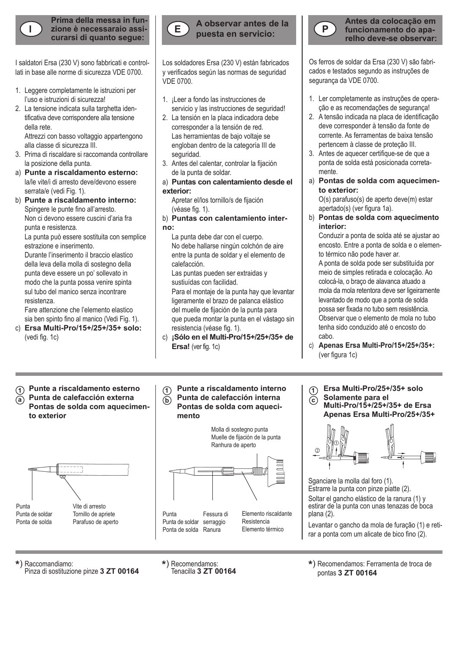

**Prima della messa in funcurarsi di quanto segue:**

I saldatori Ersa (230 V) sono fabbricati e controllati in base alle norme di sicurezza VDE 0700.

- 1. Leggere completamente le istruzioni per l'uso e istruzioni di sicurezza!
- 2. La tensione indicata sulla targhetta iden tificativa deve corrispondere alla tensione della rete. Attrezzi con basso voltaggio appartengono

alla classe di sicurezza III.

- 3. Prima di riscaldare si raccomanda controllare la posizione della punta.
- a) **Punte a riscaldamento esterno:** la/le vite/i di arresto deve/devono essere serrata/e (vedi Fig. 1).
- b) **Punte a riscaldamento interno:** Spingere le punte fino all'arresto.

 Non ci devono essere cuscini d'aria fra punta e resistenza.

 La punta può essere sostituita con semplice estrazione e inserimento.

 Durante l'inserimento il braccio elastico della leva della molla di sostegno della punta deve essere un po' sollevato in modo che la punta possa venire spinta sul tubo del manico senza incontrare resistenza.

 Fare attenzione che l'elemento elastico sia ben spinto fino al manico (Vedi Fig. 1).

c) **Ersa Multi-Pro/15+/25+/35+ solo:** (vedi fig. 1c)



Los soldadores Ersa (230 V) están fabricados y verificados según las normas de seguridad VDE 0700.

- 1. ¡Leer a fondo las instrucciones de servicio y las instrucciones de seguridad!
- 2. La tensión en la placa indicadora debe corresponder a la tensión de red. Las herramientas de bajo voltaje se engloban dentro de la categoría III de seguridad.
- 3. Antes del calentar, controlar la fijación de la punta de soldar.
- a) **Puntas con calentamiento desde el exterior:**

 Apretar el/los tornillo/s de fijación (véase fig. 1).

# b) **Puntas con calentamiento interno:**

 La punta debe dar con el cuerpo. No debe hallarse ningún colchón de aire entre la punta de soldar y el elemento de calefacción.

 Las puntas pueden ser extraidas y sustiuídas con facilidad.

 Para el montaje de la punta hay que levantar ligeramente el brazo de palanca elástico del muelle de fijación de la punta para que pueda montar la punta en el vástago sin resistencia (véase fig. 1).

c) **¡Sólo en el Multi-Pro/15+/25+/35+ de Ersa!** (ver fig. 1c)



**Antes da colocação em funcionamento do aparelho deve-se observar:**

Os ferros de soldar da Ersa (230 V) são fabricados e testados segundo as instruções de segurança da VDE 0700.

- 1. Ler completamente as instruções de operação e as recomendações de segurança!
- 2. A tensão indicada na placa de identificação deve corresponder à tensão da fonte de corrente. As ferramentas de baixa tensão pertencem à classe de proteção III.
- 3. Antes de aquecer certifique-se de que a ponta de solda está posicionada corretamente.
- a) **Pontas de solda com aquecimento exterior:**

O(s) parafuso(s) de aperto deve(m) estar apertado(s) (ver figura 1a).

b) **Pontas de solda com aquecimento interior:**

Conduzir a ponta de solda até se ajustar ao encosto. Entre a ponta de solda e o elemento térmico não pode haver ar.

A ponta de solda pode ser substituída por meio de simples retirada e colocação. Ao colocá-la, o braço de alavanca atuado a mola da mola retentora deve ser ligeiramente levantado de modo que a ponta de solda possa ser fixada no tubo sem resistência. Observar que o elemento de mola no tubo tenha sido conduzido até o encosto do cabo.

- c) **Apenas Ersa Multi-Pro/15+/25+/35+:** (ver figura 1c)
- $\widehat{\theta}$  Punte a riscaldamento esterno  $\widehat{\theta}$  Punte a riscaldamento interno  $\widehat{\theta}$ **Punta de calefacción externa Pontas de solda com aquecimento exterior a**



**Punte a riscaldamento interno Punta de calefacción interna**  $\mathbf{b}$  **Pontas de solda com aquecimento**  1<br>61



**Ersa Multi-Pro/25+/35+ solo Solamente para el Multi-Pro/15+/25+/35+ de Ersa Apenas Ersa Multi-Pro/25+/35+**



Sganciare la molla dal foro (1). Estrarre la punta con pinze piatte (2). Soltar el gancho elástico de la ranura (1) y estirar de la punta con unas tenazas de boca plana (2).

Levantar o gancho da mola de furação (1) e retirar a ponta com um alicate de bico fino (2).

**\***) Raccomandiamo:

Pinza di sostituzione pinze **3 ZT 00164 \***) Recomendamos:

\*) Recomendamos: Ferramenta de troca de pontas **3 ZT 00164**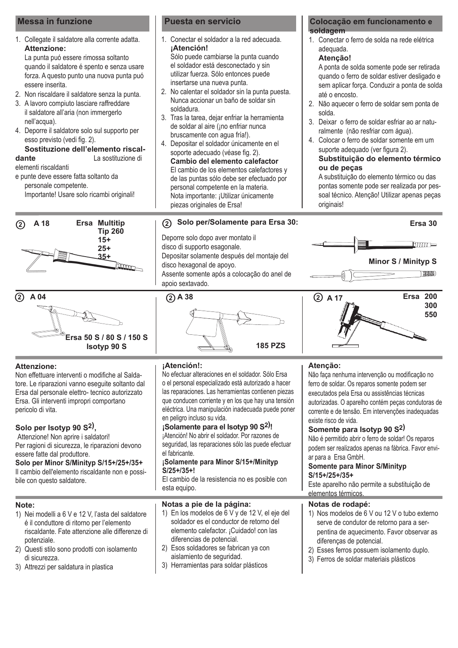# **Messa in funzione Puesta en servicio**

1. Collegate il saldatore alla corrente adatta. **Attenzione:**

 La punta puó essere rimossa soltanto quando il saldatore é spento e senza usare forza. A questo punto una nuova punta puó essere inserita.

- 2. Non riscaldare il saldatore senza la punta.
- 3. A lavoro compiuto lasciare raffreddare il saldatore all'aria (non immergerlo nell'acqua).
- 4. Deporre il saldatore solo sul supporto per esso previsto (vedi fig. 2).

**Sostituzione dell'elemento riscal-**<br> **Sostituzione di la sostituzione di dante** La sostituzione di

elementi riscaldanti

e punte deve essere fatta soltanto da personale competente.

Importante! Usare solo ricambi originali!





# **Attenzione:**

Non effettuare interventi o modifiche al Saldatore. Le riparazioni vanno eseguite soltanto dal Ersa dal personale elettro- tecnico autorizzato Ersa. Gli interventi impropri comportano pericolo di vita.

# **Solo per Isotyp 90 S2),**

Attenzione! Non aprire i saldatori! Per ragioni di sicurezza, le riparazioni devono essere fatte dal produttore.

**Solo per Minor S/Minityp S/15+/25+/35+** Il cambio dell'elemento riscaldante non e possibile con questo saldatore.

# **Note:**

- 1) Nei modelli a 6 V e 12 V, l'asta del saldatore é il conduttore di ritorno per l'elemento riscaldante. Fate attenzione alle differenze di potenziale.
- 2) Questi stilo sono prodotti con isolamento di sicurezza.
- 3) Attrezzi per saldatura in plastica

- 1. Conectar el soldador a la red adecuada. **¡Atención!** Sólo puede cambiarse la punta cuando el soldador está desconectado y sin utilizar fuerza. Sólo entonces puede
- insertarse una nueva punta. 2. No calentar el soldador sin la punta puesta. Nunca accionar un baño de soldar sin soldadura.
- 3. Tras la tarea, dejar enfriar la herramienta de soldar al aire (¡no enfriar nunca bruscamente con agua fría!).
- 4. Depositar el soldador únicamente en el soporte adecuado (véase fig. 2). **Cambio del elemento calefactor** El cambio de los elementos calefactores y de las puntas sólo debe ser efectuado por personal competente en la materia. Nota importante: ¡Utilizar únicamente piezas originales de Ersa!

# **Solo per/Solamente para Ersa 30: A 18 Ersa 30**

Deporre solo dopo aver montato il disco di supporto esagonale. Depositar solamente después del montaje del disco hexagonal de apoyo. Assente somente após a colocação do anel de apoio sextavado.

# **185 PZS**

# **Colocação em funcionamento e soldagem**

1. Conectar o ferro de solda na rede elétrica adequada.

# **Atenção!**

A ponta de solda somente pode ser retirada quando o ferro de soldar estiver desligado e sem aplicar força. Conduzir a ponta de solda até o encosto.

- 2. Não aquecer o ferro de soldar sem ponta de solda.
- 3. Deixar o ferro de soldar esfriar ao ar naturalmente (não resfriar com água).
- 4. Colocar o ferro de soldar somente em um suporte adequado (ver figura 2).

# **Substituição do elemento térmico ou de peças**

A substituição do elemento térmico ou das pontas somente pode ser realizada por pessoal técnico. Atenção! Utilizar apenas peças originais!







# **¡Atención!:**

No efectuar alteraciones en el soldador. Sólo Ersa o el personal especializado está autorizado a hacer las reparaciones. Las herramientas contienen piezas que conducen corriente y en los que hay una tensión eléctrica. Una manipulación inadecuada puede poner en peligro incluso su vida.

# **¡Solamente para el Isotyp 90 S2) !**

¡Atención! No abrir el soldador. Por razones de seguridad, las reparaciones sólo las puede efectuar el fabricante.

# **¡Solamente para Minor S/15+/Minityp S/25+/35+!**

El cambio de la resistencia no es posible con esta equipo.

# **Notas a pie de la página:**

- 1) En los modelos de 6 V y de 12 V, el eje del soldador es el conductor de retorno del elemento calefactor. ¡Cuidado! con las diferencias de potencial.
- 2) Esos soldadores se fabrican ya con aislamiento de seguridad.
- 3) Herramientas para soldar plásticos

# **Atenção:**

Não faça nenhuma intervenção ou modificação no ferro de soldar. Os reparos somente podem ser executados pela Ersa ou assistências técnicas autorizadas. O aparelho contém peças condutoras de corrente e de tensão. Em intervenções inadequadas existe risco de vida.

# **Somente para Isotyp 90 S2)**

Não é permitido abrir o ferro de soldar! Os reparos podem ser realizados apenas na fábrica. Favor enviar para a Ersa GmbH.

## **Somente para Minor S/Minityp S/15+/25+/35+**

Este aparelho não permite a substituição de elementos térmicos.

# **Notas de rodapé:**

- 1) Nos modelos de 6 V ou 12 V o tubo externo serve de condutor de retorno para a serpentina de aquecimento. Favor observar as diferenças de potencial.
- 2) Esses ferros possuem isolamento duplo.
- 3) Ferros de soldar materiais plásticos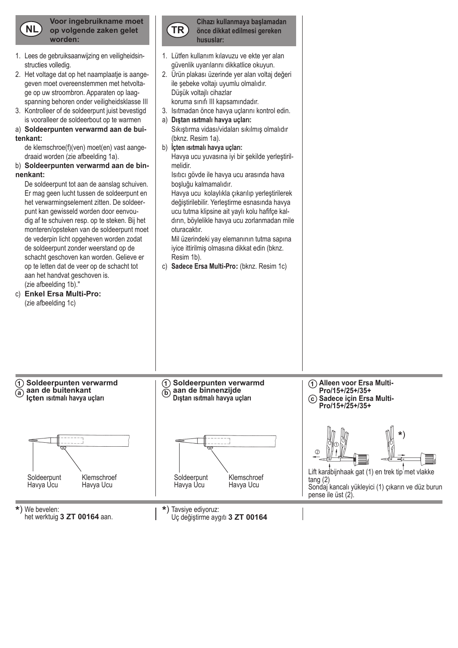

**Voor ingebruikname moet op volgende zaken gelet worden:**

- 1. Lees de gebruiksaanwijzing en veiligheidsin structies volledig.
- 2. Het voltage dat op het naamplaatje is aange geven moet overeenstemmen met hetvolta ge op uw stroombron. Apparaten op laag spanning behoren onder veiligheidsklasse III
- 3. Kontrolleer of de soldeerpunt juist bevestigd is vooralleer de soldeerbout op te warmen
- a) **Soldeerpunten verwarmd aan de buitenkant:**

de klemschroe(f)(ven) moet(en) vast aange draaid worden (zie afbeelding 1a).

b) **Soldeerpunten verwarmd aan de binnenkant:**

De soldeerpunt tot aan de aanslag schuiven. Er mag geen lucht tussen de soldeerpunt en het verwarmingselement zitten. De soldeer punt kan gewisseld worden door eenvou dig af te schuiven resp. op te steken. Bij het monteren/opsteken van de soldeerpunt moet de vederpin licht opgeheven worden zodat de soldeerpunt zonder weerstand op de schacht geschoven kan worden. Gelieve er op te letten dat de veer op de schacht tot aan het handvat geschoven is. (zie afbeelding 1b)."

c) **Enkel Ersa Multi-Pro:** (zie afbeelding 1c)



- 1. Lütfen kullanım kılavuzu ve ekte yer alan güvenlik uyarılarını dikkatlice okuyun. 2. Ürün plakası üzerinde yer alan voltaj değeri
- ile şebeke voltajı uyumlu olmalıdır. Düşük voltailı cihazlar koruma sınıfı III kapsamındadır.
- 3. Isıtmadan önce havya uçlarını kontrol edin. a) **Dıştan ısıtmalı havya uçları:**
- Sıkıştırma vidası/vidaları sıkılmış olmalıdır (bknz. Resim 1a).
- b) **İçten ısıtmalı havya uçları:** Havya ucu yuvasına iyi bir şekilde yerleştirilmelidir.

Isıtıcı gövde ile havya ucu arasında hava boşluğu kalmamalıdır.

Havya ucu kolaylıkla çıkarılıp yerleştirilerek değiştirilebilir. Yerleştirme esnasında havya ucu tutma klipsine ait yaylı kolu hafifçe kaldırın, böylelikle havya ucu zorlanmadan mile oturacaktır.

Mil üzerindeki yay elemanının tutma sapına iyice ittirilmiş olmasına dikkat edin (bknz. Resim 1b).

c) **Sadece Ersa Multi-Pro:** (bknz. Resim 1c)



het werktuig **3 ZT 00164** aan.

Uç değiştirme aygıtı **3 ZT 00164**